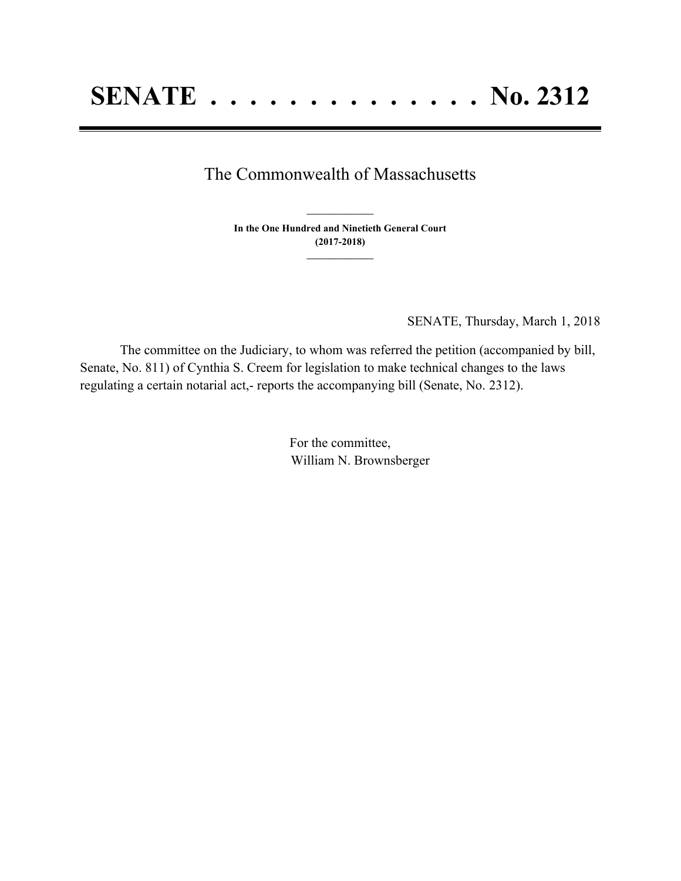## The Commonwealth of Massachusetts

**In the One Hundred and Ninetieth General Court (2017-2018) \_\_\_\_\_\_\_\_\_\_\_\_\_\_\_**

**\_\_\_\_\_\_\_\_\_\_\_\_\_\_\_**

SENATE, Thursday, March 1, 2018

The committee on the Judiciary, to whom was referred the petition (accompanied by bill, Senate, No. 811) of Cynthia S. Creem for legislation to make technical changes to the laws regulating a certain notarial act,- reports the accompanying bill (Senate, No. 2312).

> For the committee, William N. Brownsberger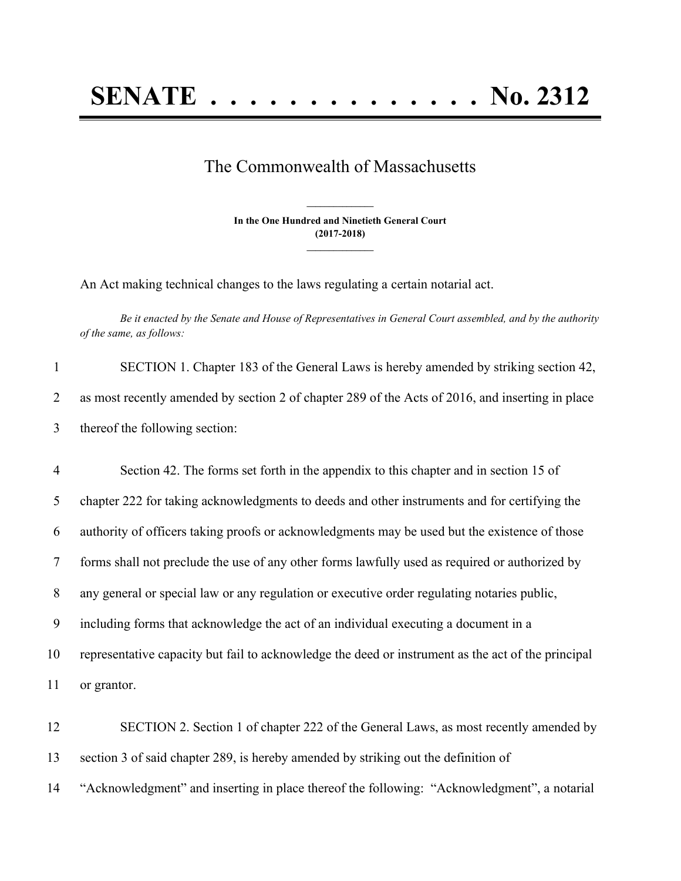## The Commonwealth of Massachusetts

**In the One Hundred and Ninetieth General Court (2017-2018) \_\_\_\_\_\_\_\_\_\_\_\_\_\_\_**

**\_\_\_\_\_\_\_\_\_\_\_\_\_\_\_**

An Act making technical changes to the laws regulating a certain notarial act.

Be it enacted by the Senate and House of Representatives in General Court assembled, and by the authority *of the same, as follows:*

| SECTION 1. Chapter 183 of the General Laws is hereby amended by striking section 42,             |
|--------------------------------------------------------------------------------------------------|
| as most recently amended by section 2 of chapter 289 of the Acts of 2016, and inserting in place |
| thereof the following section:                                                                   |

 Section 42. The forms set forth in the appendix to this chapter and in section 15 of chapter 222 for taking acknowledgments to deeds and other instruments and for certifying the authority of officers taking proofs or acknowledgments may be used but the existence of those forms shall not preclude the use of any other forms lawfully used as required or authorized by any general or special law or any regulation or executive order regulating notaries public, including forms that acknowledge the act of an individual executing a document in a representative capacity but fail to acknowledge the deed or instrument as the act of the principal or grantor.

12 SECTION 2. Section 1 of chapter 222 of the General Laws, as most recently amended by 13 section 3 of said chapter 289, is hereby amended by striking out the definition of 14 "Acknowledgment" and inserting in place thereof the following: "Acknowledgment", a notarial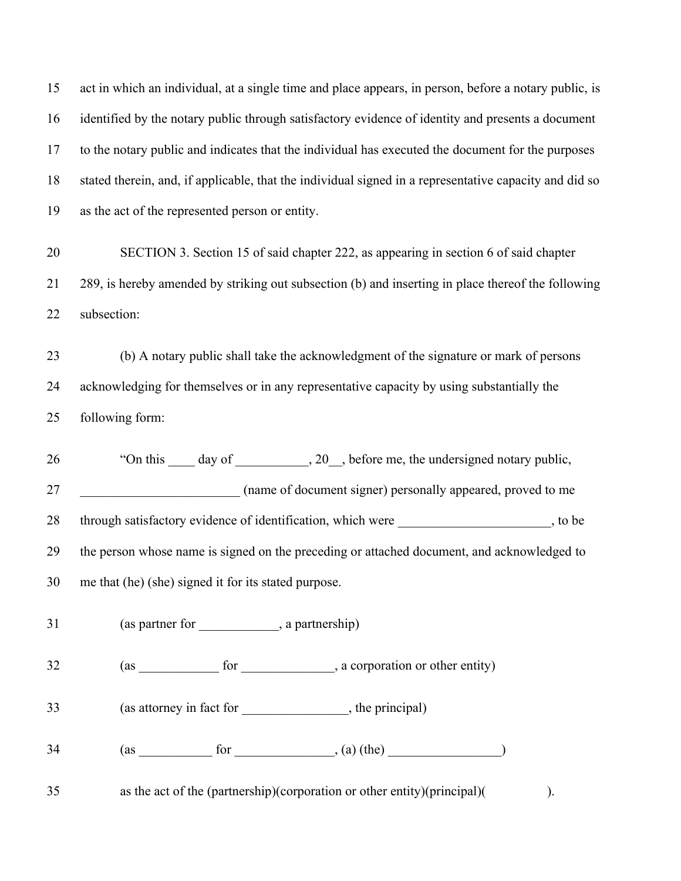act in which an individual, at a single time and place appears, in person, before a notary public, is identified by the notary public through satisfactory evidence of identity and presents a document to the notary public and indicates that the individual has executed the document for the purposes stated therein, and, if applicable, that the individual signed in a representative capacity and did so as the act of the represented person or entity.

 SECTION 3. Section 15 of said chapter 222, as appearing in section 6 of said chapter 289, is hereby amended by striking out subsection (b) and inserting in place thereof the following subsection:

 (b) A notary public shall take the acknowledgment of the signature or mark of persons acknowledging for themselves or in any representative capacity by using substantially the following form:

26 "On this day of , 20, before me, the undersigned notary public, **hand a straight of document signer)** personally appeared, proved to me 28 through satisfactory evidence of identification, which were  $\sim$ , to be the person whose name is signed on the preceding or attached document, and acknowledged to me that (he) (she) signed it for its stated purpose.

31 (as partner for \_\_\_\_\_\_\_\_\_\_\_, a partnership)

32 (as for for a corporation or other entity)

(as attorney in fact for \_\_\_\_\_\_\_\_\_\_\_\_\_\_\_\_, the principal)

(as for  $, (a)$  (the)  $)$ 

as the act of the (partnership)(corporation or other entity)(principal)( ).